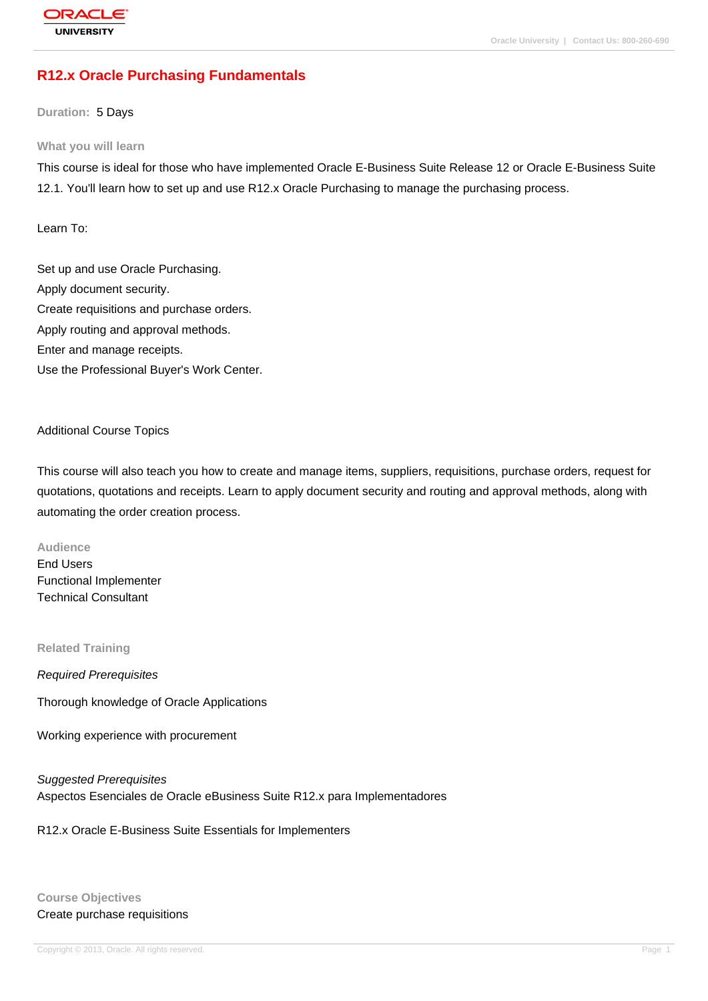# **[R12.x Oracle P](http://education.oracle.com/pls/web_prod-plq-dad/db_pages.getpage?page_id=3)urchasing Fundamentals**

**Duration:** 5 Days

#### **What you will learn**

This course is ideal for those who have implemented Oracle E-Business Suite Release 12 or Oracle E-Business Suite 12.1. You'll learn how to set up and use R12.x Oracle Purchasing to manage the purchasing process.

Learn To:

Set up and use Oracle Purchasing. Apply document security. Create requisitions and purchase orders. Apply routing and approval methods. Enter and manage receipts. Use the Professional Buyer's Work Center.

#### Additional Course Topics

This course will also teach you how to create and manage items, suppliers, requisitions, purchase orders, request for quotations, quotations and receipts. Learn to apply document security and routing and approval methods, along with automating the order creation process.

**Audience** End Users Functional Implementer Technical Consultant

**Related Training**

Required Prerequisites

Thorough knowledge of Oracle Applications

Working experience with procurement

Suggested Prerequisites Aspectos Esenciales de Oracle eBusiness Suite R12.x para Implementadores

R12.x Oracle E-Business Suite Essentials for Implementers

**Course Objectives** Create purchase requisitions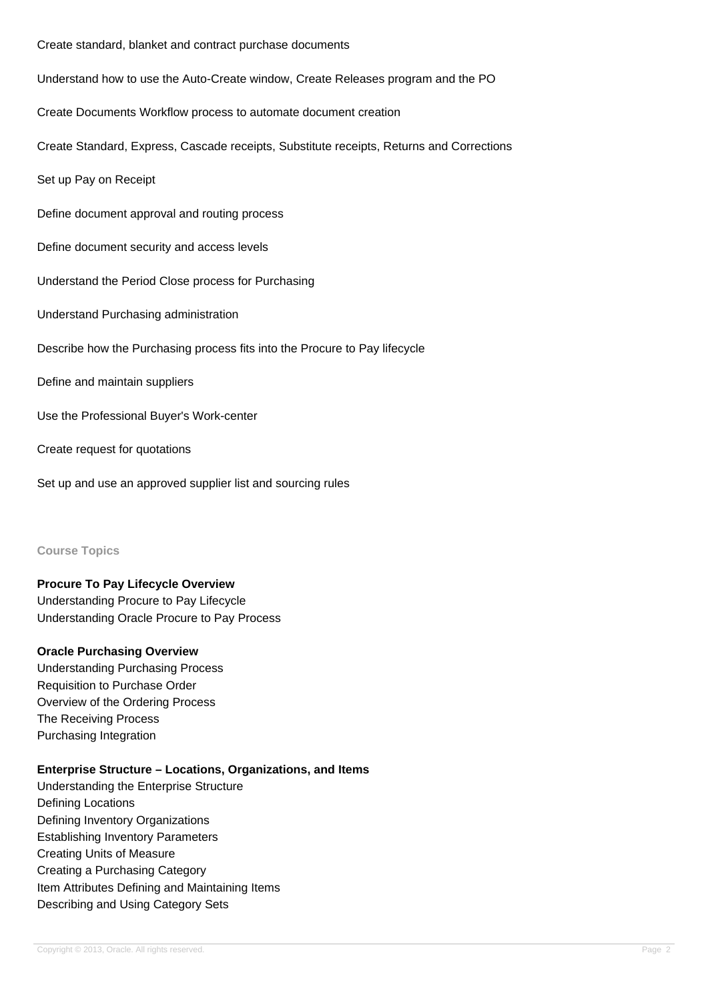Create standard, blanket and contract purchase documents

Understand how to use the Auto-Create window, Create Releases program and the PO

Create Documents Workflow process to automate document creation

Create Standard, Express, Cascade receipts, Substitute receipts, Returns and Corrections

Set up Pay on Receipt

Define document approval and routing process

Define document security and access levels

Understand the Period Close process for Purchasing

Understand Purchasing administration

Describe how the Purchasing process fits into the Procure to Pay lifecycle

Define and maintain suppliers

Use the Professional Buyer's Work-center

Create request for quotations

Set up and use an approved supplier list and sourcing rules

#### **Course Topics**

#### **Procure To Pay Lifecycle Overview**

Understanding Procure to Pay Lifecycle Understanding Oracle Procure to Pay Process

#### **Oracle Purchasing Overview**

Understanding Purchasing Process Requisition to Purchase Order Overview of the Ordering Process The Receiving Process Purchasing Integration

#### **Enterprise Structure – Locations, Organizations, and Items**

Understanding the Enterprise Structure Defining Locations Defining Inventory Organizations Establishing Inventory Parameters Creating Units of Measure Creating a Purchasing Category Item Attributes Defining and Maintaining Items Describing and Using Category Sets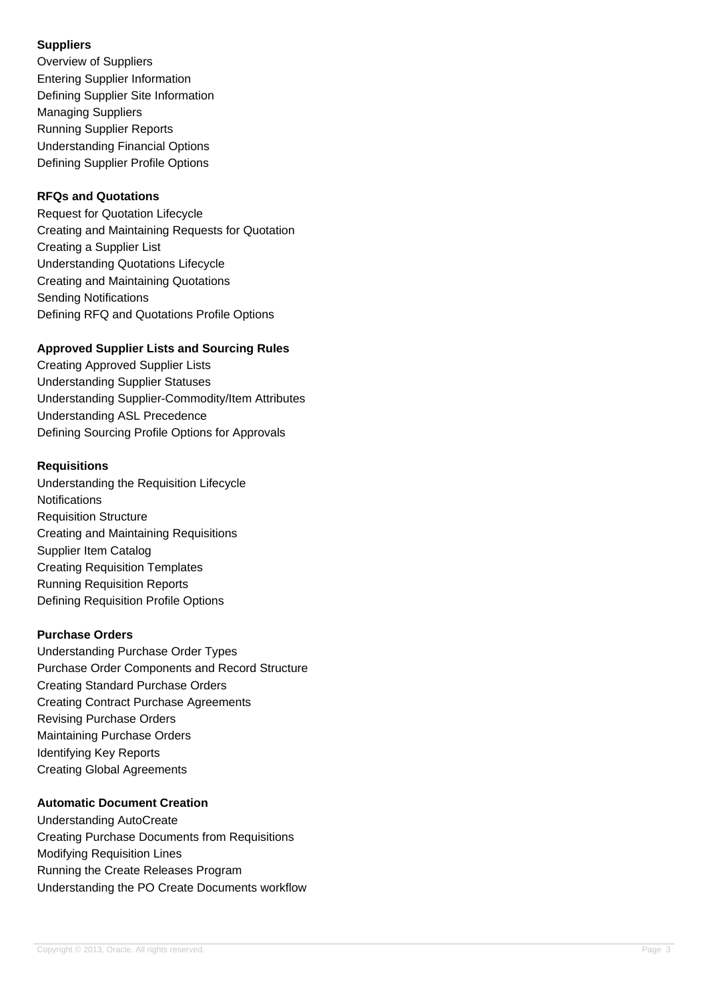## **Suppliers**

Overview of Suppliers Entering Supplier Information Defining Supplier Site Information Managing Suppliers Running Supplier Reports Understanding Financial Options Defining Supplier Profile Options

# **RFQs and Quotations**

Request for Quotation Lifecycle Creating and Maintaining Requests for Quotation Creating a Supplier List Understanding Quotations Lifecycle Creating and Maintaining Quotations Sending Notifications Defining RFQ and Quotations Profile Options

# **Approved Supplier Lists and Sourcing Rules**

Creating Approved Supplier Lists Understanding Supplier Statuses Understanding Supplier-Commodity/Item Attributes Understanding ASL Precedence Defining Sourcing Profile Options for Approvals

## **Requisitions**

Understanding the Requisition Lifecycle **Notifications** Requisition Structure Creating and Maintaining Requisitions Supplier Item Catalog Creating Requisition Templates Running Requisition Reports Defining Requisition Profile Options

# **Purchase Orders**

Understanding Purchase Order Types Purchase Order Components and Record Structure Creating Standard Purchase Orders Creating Contract Purchase Agreements Revising Purchase Orders Maintaining Purchase Orders Identifying Key Reports Creating Global Agreements

## **Automatic Document Creation**

Understanding AutoCreate Creating Purchase Documents from Requisitions Modifying Requisition Lines Running the Create Releases Program Understanding the PO Create Documents workflow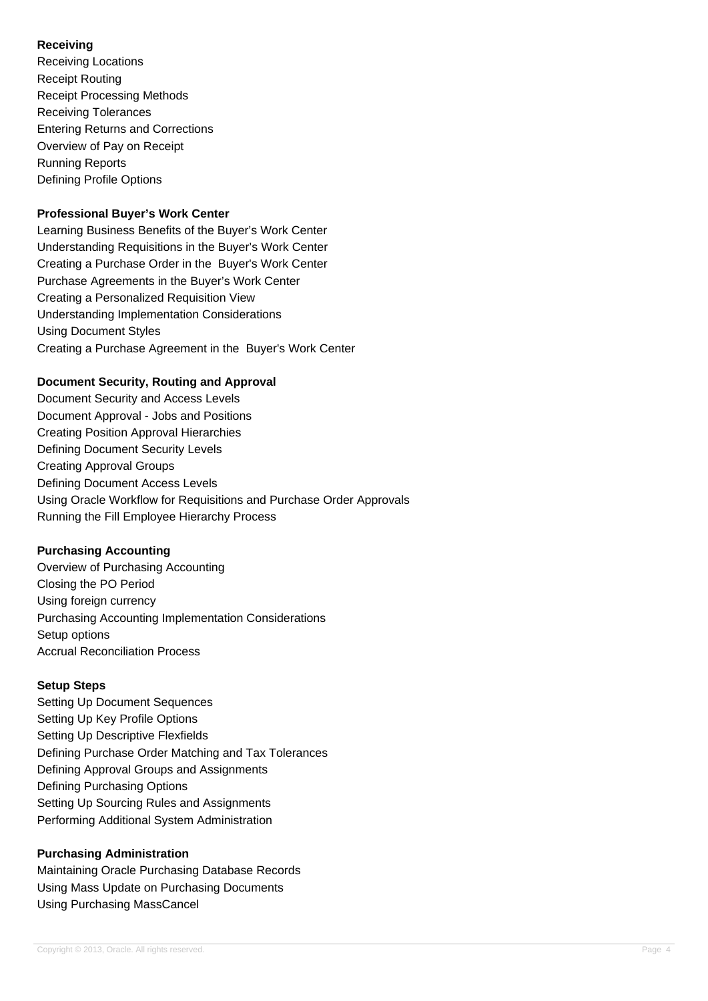## **Receiving**

Receiving Locations Receipt Routing Receipt Processing Methods Receiving Tolerances Entering Returns and Corrections Overview of Pay on Receipt Running Reports Defining Profile Options

### **Professional Buyer's Work Center**

Learning Business Benefits of the Buyer's Work Center Understanding Requisitions in the Buyer's Work Center Creating a Purchase Order in the Buyer's Work Center Purchase Agreements in the Buyer's Work Center Creating a Personalized Requisition View Understanding Implementation Considerations Using Document Styles Creating a Purchase Agreement in the Buyer's Work Center

### **Document Security, Routing and Approval**

Document Security and Access Levels Document Approval - Jobs and Positions Creating Position Approval Hierarchies Defining Document Security Levels Creating Approval Groups Defining Document Access Levels Using Oracle Workflow for Requisitions and Purchase Order Approvals Running the Fill Employee Hierarchy Process

### **Purchasing Accounting**

Overview of Purchasing Accounting Closing the PO Period Using foreign currency Purchasing Accounting Implementation Considerations Setup options Accrual Reconciliation Process

### **Setup Steps**

Setting Up Document Sequences Setting Up Key Profile Options Setting Up Descriptive Flexfields Defining Purchase Order Matching and Tax Tolerances Defining Approval Groups and Assignments Defining Purchasing Options Setting Up Sourcing Rules and Assignments Performing Additional System Administration

### **Purchasing Administration**

Maintaining Oracle Purchasing Database Records Using Mass Update on Purchasing Documents Using Purchasing MassCancel